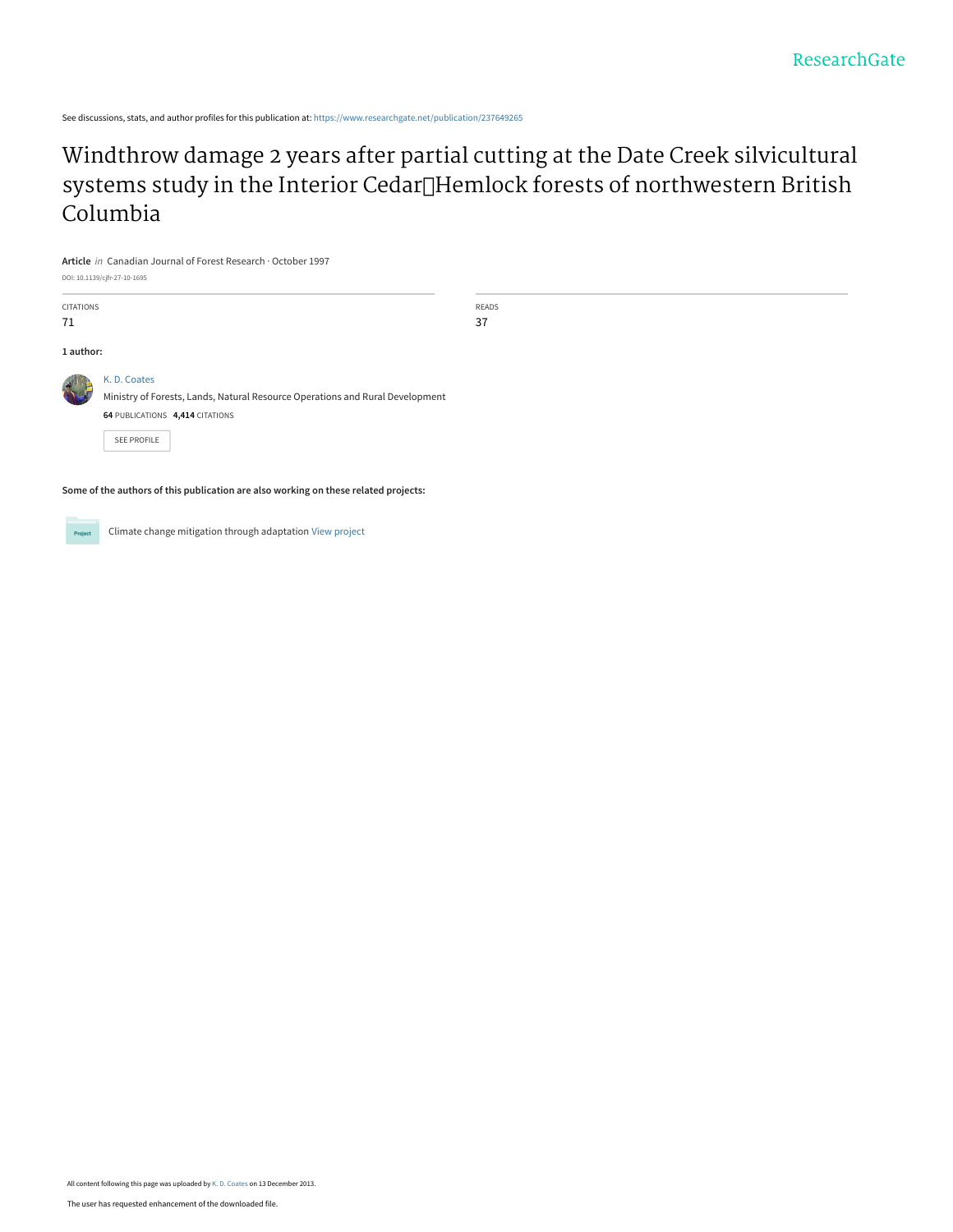See discussions, stats, and author profiles for this publication at: [https://www.researchgate.net/publication/237649265](https://www.researchgate.net/publication/237649265_Windthrow_damage_2_years_after_partial_cutting_at_the_Date_Creek_silvicultural_systems_study_in_the_Interior_CedarHemlock_forests_of_northwestern_British_Columbia?enrichId=rgreq-d738e2a392d30e31194dd3ed706f1c00-XXX&enrichSource=Y292ZXJQYWdlOzIzNzY0OTI2NTtBUzoxMDQ2MjcxNzMzMzA5NTdAMTQwMTk1NjQ3MDcxMg%3D%3D&el=1_x_2&_esc=publicationCoverPdf)

# [Windthrow damage 2 years after partial cutting at the Date Creek silvicultural](https://www.researchgate.net/publication/237649265_Windthrow_damage_2_years_after_partial_cutting_at_the_Date_Creek_silvicultural_systems_study_in_the_Interior_CedarHemlock_forests_of_northwestern_British_Columbia?enrichId=rgreq-d738e2a392d30e31194dd3ed706f1c00-XXX&enrichSource=Y292ZXJQYWdlOzIzNzY0OTI2NTtBUzoxMDQ2MjcxNzMzMzA5NTdAMTQwMTk1NjQ3MDcxMg%3D%3D&el=1_x_3&_esc=publicationCoverPdf) systems study in the Interior Cedar<sup>[</sup>Hemlock forests of northwestern British Columbia

**Article** in Canadian Journal of Forest Research · October 1997

DOI: 10.1139/cjfr-27-10-1695

| CITATIONS    |                                                                               | READS |
|--------------|-------------------------------------------------------------------------------|-------|
| 71           |                                                                               | 37    |
|              |                                                                               |       |
| 1 author:    |                                                                               |       |
| $\mathbf{r}$ | K.D. Coates                                                                   |       |
|              | Ministry of Forests, Lands, Natural Resource Operations and Rural Development |       |
|              | 64 PUBLICATIONS 4,414 CITATIONS                                               |       |
|              | SEE PROFILE                                                                   |       |
|              |                                                                               |       |

**Some of the authors of this publication are also working on these related projects:**



Climate change mitigation through adaptation [View project](https://www.researchgate.net/project/Climate-change-mitigation-through-adaptation?enrichId=rgreq-d738e2a392d30e31194dd3ed706f1c00-XXX&enrichSource=Y292ZXJQYWdlOzIzNzY0OTI2NTtBUzoxMDQ2MjcxNzMzMzA5NTdAMTQwMTk1NjQ3MDcxMg%3D%3D&el=1_x_9&_esc=publicationCoverPdf)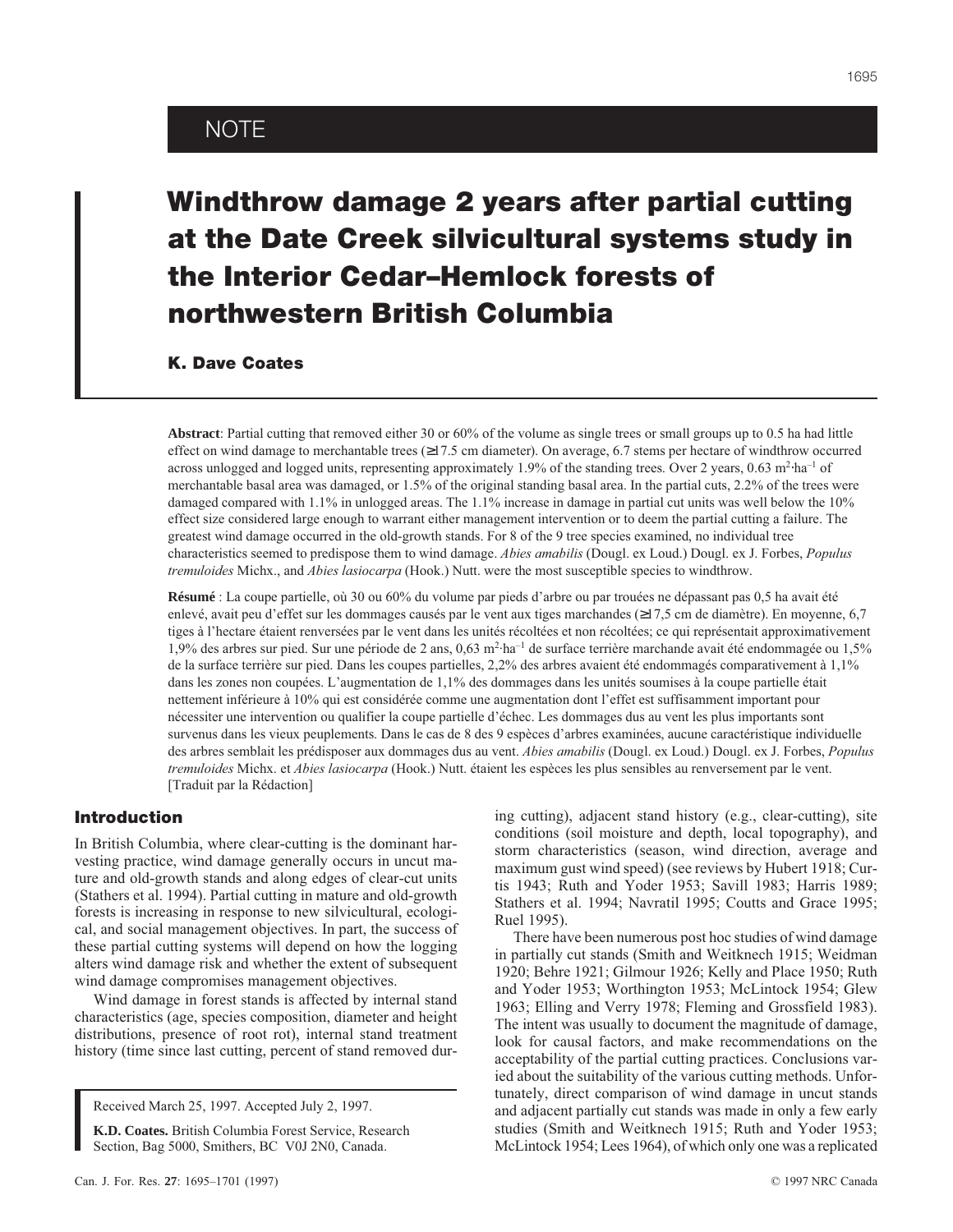## NOTE

# Windthrow damage 2 years after partial cutting at the Date Creek silvicultural systems study in the Interior Cedar–Hemlock forests of northwestern British Columbia

K. Dave Coates

**Abstract**: Partial cutting that removed either 30 or 60% of the volume as single trees or small groups up to 0.5 ha had little effect on wind damage to merchantable trees (≥17.5 cm diameter). On average, 6.7 stems per hectare of windthrow occurred across unlogged and logged units, representing approximately 1.9% of the standing trees. Over 2 years, 0.63 m<sup>2</sup>·ha<sup>-1</sup> of merchantable basal area was damaged, or 1.5% of the original standing basal area. In the partial cuts, 2.2% of the trees were damaged compared with 1.1% in unlogged areas. The 1.1% increase in damage in partial cut units was well below the 10% effect size considered large enough to warrant either management intervention or to deem the partial cutting a failure. The greatest wind damage occurred in the old-growth stands. For 8 of the 9 tree species examined, no individual tree characteristics seemed to predispose them to wind damage. *Abies amabilis* (Dougl. ex Loud.) Dougl. ex J. Forbes, *Populus tremuloides* Michx., and *Abies lasiocarpa* (Hook.) Nutt. were the most susceptible species to windthrow.

**Résumé** : La coupe partielle, où 30 ou 60% du volume par pieds d'arbre ou par trouées ne dépassant pas 0,5 ha avait été enlevé, avait peu d'effet sur les dommages causés par le vent aux tiges marchandes (≥17,5 cm de diamètre). En moyenne, 6,7 tiges à l'hectare étaient renversées par le vent dans les unités récoltées et non récoltées; ce qui représentait approximativement 1,9% des arbres sur pied. Sur une période de 2 ans, 0,63 m<sup>2</sup>·ha<sup>-1</sup> de surface terrière marchande avait été endommagée ou 1,5% de la surface terrière sur pied. Dans les coupes partielles, 2,2% des arbres avaient été endommagés comparativement à 1,1% dans les zones non coupées. L'augmentation de 1,1% des dommages dans les unités soumises à la coupe partielle était nettement inférieure à 10% qui est considérée comme une augmentation dont l'effet est suffisamment important pour nécessiter une intervention ou qualifier la coupe partielle d'échec. Les dommages dus au vent les plus importants sont survenus dans les vieux peuplements. Dans le cas de 8 des 9 espèces d'arbres examinées, aucune caractéristique individuelle des arbres semblait les prédisposer aux dommages dus au vent. *Abies amabilis* (Dougl. ex Loud.) Dougl. ex J. Forbes, *Populus tremuloides* Michx. et *Abies lasiocarpa* (Hook.) Nutt. étaient les espèces les plus sensibles au renversement par le vent. [Traduit par la Rédaction]

### Introduction

In British Columbia, where clear-cutting is the dominant harvesting practice, wind damage generally occurs in uncut mature and old-growth stands and along edges of clear-cut units (Stathers et al. 1994). Partial cutting in mature and old-growth forests is increasing in response to new silvicultural, ecological, and social management objectives. In part, the success of these partial cutting systems will depend on how the logging alters wind damage risk and whether the extent of subsequent wind damage compromises management objectives.

Wind damage in forest stands is affected by internal stand characteristics (age, species composition, diameter and height distributions, presence of root rot), internal stand treatment history (time since last cutting, percent of stand removed dur-

Received March 25, 1997. Accepted July 2, 1997.

**K.D. Coates.** British Columbia Forest Service, Research Section, Bag 5000, Smithers, BC V0J 2N0, Canada.

tis 1943; Ruth and Yoder 1953; Savill 1983; Harris 1989; Stathers et al. 1994; Navratil 1995; Coutts and Grace 1995; Ruel 1995). There have been numerous post hoc studies of wind damage in partially cut stands (Smith and Weitknech 1915; Weidman 1920; Behre 1921; Gilmour 1926; Kelly and Place 1950; Ruth

and Yoder 1953; Worthington 1953; McLintock 1954; Glew 1963; Elling and Verry 1978; Fleming and Grossfield 1983). The intent was usually to document the magnitude of damage, look for causal factors, and make recommendations on the acceptability of the partial cutting practices. Conclusions varied about the suitability of the various cutting methods. Unfortunately, direct comparison of wind damage in uncut stands and adjacent partially cut stands was made in only a few early studies (Smith and Weitknech 1915; Ruth and Yoder 1953; McLintock 1954; Lees 1964), of which only one was a replicated

ing cutting), adjacent stand history (e.g., clear-cutting), site conditions (soil moisture and depth, local topography), and storm characteristics (season, wind direction, average and maximum gust wind speed) (see reviews by Hubert 1918; Cur-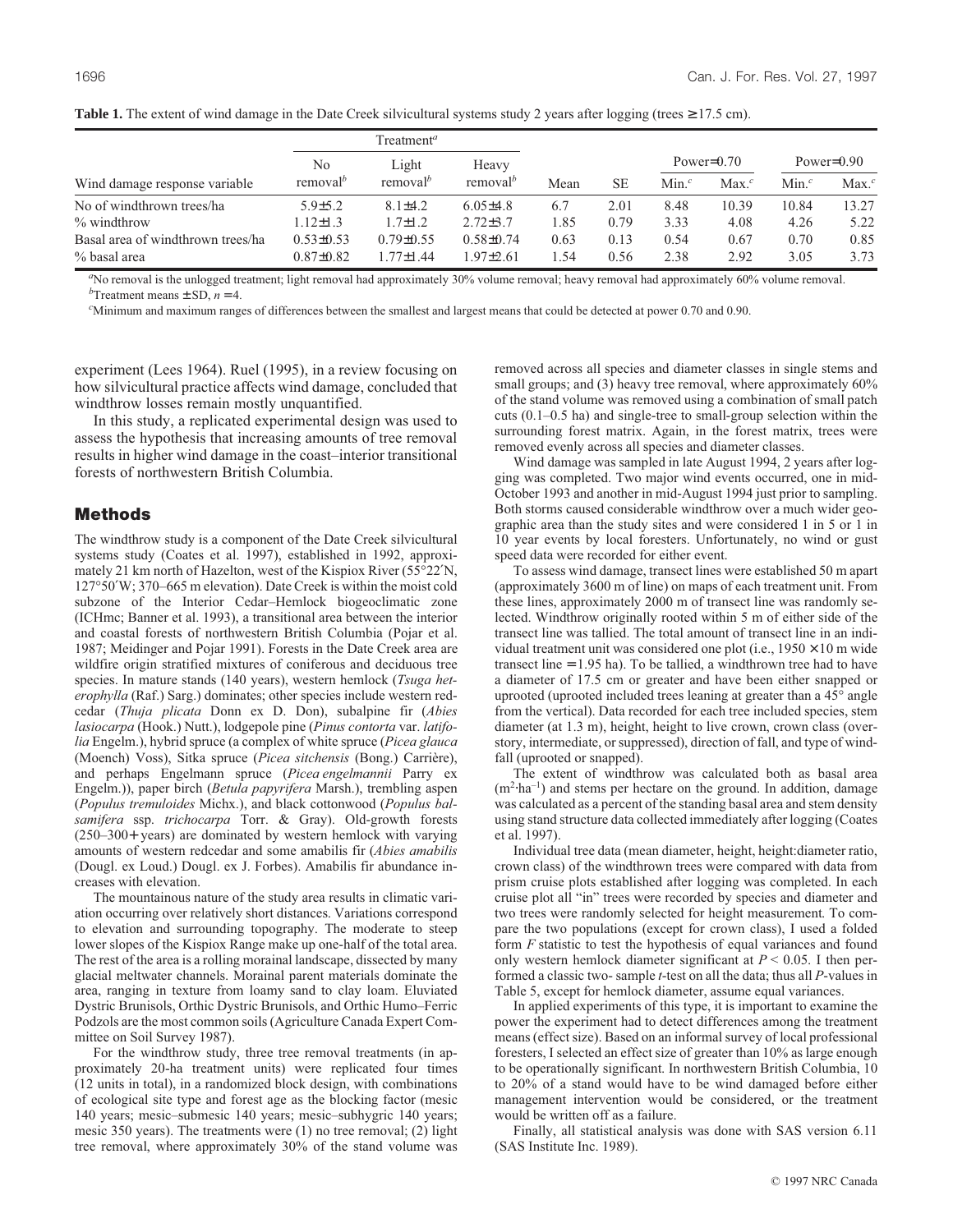|                                   |                      | $T$ reatment <sup>a</sup> |                      |      |           |                  |          |                  |          |
|-----------------------------------|----------------------|---------------------------|----------------------|------|-----------|------------------|----------|------------------|----------|
|                                   | N <sub>0</sub>       | Light                     | Heavy                |      | <b>SE</b> | Power= $0.70$    |          | Power= $0.90$    |          |
| Wind damage response variable     | removal <sup>b</sup> | removal <sup>b</sup>      | removal <sup>b</sup> | Mean |           | Min <sup>c</sup> | $Max.^c$ | Min <sup>c</sup> | $Max.^c$ |
| No of windthrown trees/ha         | $5.9{\pm}5.2$        | $8.1\pm4.2$               | $6.05\pm4.8$         | 6.7  | 2.01      | 8.48             | 10.39    | 10.84            | 13.27    |
| $\%$ windthrow                    | $1.12 \pm 1.3$       | $1.7 \pm 1.2$             | $2.72 \pm 3.7$       | 1.85 | 0.79      | 3.33             | 4.08     | 4.26             | 5.22     |
| Basal area of windthrown trees/ha | $0.53 \pm 0.53$      | $0.79 \pm 0.55$           | $0.58 \pm 0.74$      | 0.63 | 0.13      | 0.54             | 0.67     | 0.70             | 0.85     |
| % basal area                      | $0.87 \pm 0.82$      | $1.77 \pm 1.44$           | $.97 \pm 2.61$       | 1.54 | 0.56      | 2.38             | 2.92     | 3.05             | 3.73     |

**Table 1.** The extent of wind damage in the Date Creek silvicultural systems study 2 years after logging (trees  $\geq$  17.5 cm).

<sup>a</sup>No removal is the unlogged treatment; light removal had approximately 30% volume removal; heavy removal had approximately 60% volume removal.  $<sup>b</sup>$ Treatment means  $\pm$  SD, *n* = 4.</sup>

*c* Minimum and maximum ranges of differences between the smallest and largest means that could be detected at power 0.70 and 0.90.

experiment (Lees 1964). Ruel (1995), in a review focusing on how silvicultural practice affects wind damage, concluded that windthrow losses remain mostly unquantified.

In this study, a replicated experimental design was used to assess the hypothesis that increasing amounts of tree removal results in higher wind damage in the coast–interior transitional forests of northwestern British Columbia.

#### Methods

The windthrow study is a component of the Date Creek silvicultural systems study (Coates et al. 1997), established in 1992, approximately 21 km north of Hazelton, west of the Kispiox River (55°22′N, 127°50′W; 370–665 m elevation). Date Creek is within the moist cold subzone of the Interior Cedar–Hemlock biogeoclimatic zone (ICHmc; Banner et al. 1993), a transitional area between the interior and coastal forests of northwestern British Columbia (Pojar et al. 1987; Meidinger and Pojar 1991). Forests in the Date Creek area are wildfire origin stratified mixtures of coniferous and deciduous tree species. In mature stands (140 years), western hemlock (*Tsuga heterophylla* (Raf.) Sarg.) dominates; other species include western redcedar (*Thuja plicata* Donn ex D. Don), subalpine fir (*Abies lasiocarpa* (Hook.) Nutt.), lodgepole pine (*Pinus contorta* var. *latifolia* Engelm.), hybrid spruce (a complex of white spruce (*Picea glauca* (Moench) Voss), Sitka spruce (*Picea sitchensis* (Bong.) Carrière), and perhaps Engelmann spruce (*Picea engelmannii* Parry ex Engelm.)), paper birch (*Betula papyrifera* Marsh.), trembling aspen (*Populus tremuloides* Michx.), and black cottonwood (*Populus balsamifera* ssp. *trichocarpa* Torr. & Gray). Old-growth forests (250–300+ years) are dominated by western hemlock with varying amounts of western redcedar and some amabilis fir (*Abies amabilis* (Dougl. ex Loud.) Dougl. ex J. Forbes). Amabilis fir abundance increases with elevation.

The mountainous nature of the study area results in climatic variation occurring over relatively short distances. Variations correspond to elevation and surrounding topography. The moderate to steep lower slopes of the Kispiox Range make up one-half of the total area. The rest of the area is a rolling morainal landscape, dissected by many glacial meltwater channels. Morainal parent materials dominate the area, ranging in texture from loamy sand to clay loam. Eluviated Dystric Brunisols, Orthic Dystric Brunisols, and Orthic Humo–Ferric Podzols are the most common soils (Agriculture Canada Expert Committee on Soil Survey 1987).

For the windthrow study, three tree removal treatments (in approximately 20-ha treatment units) were replicated four times (12 units in total), in a randomized block design, with combinations of ecological site type and forest age as the blocking factor (mesic 140 years; mesic–submesic 140 years; mesic–subhygric 140 years; mesic 350 years). The treatments were (1) no tree removal; (2) light tree removal, where approximately 30% of the stand volume was

removed across all species and diameter classes in single stems and small groups; and (3) heavy tree removal, where approximately  $60\%$ of the stand volume was removed using a combination of small patch cuts (0.1–0.5 ha) and single-tree to small-group selection within the surrounding forest matrix. Again, in the forest matrix, trees were removed evenly across all species and diameter classes.

Wind damage was sampled in late August 1994, 2 years after logging was completed. Two major wind events occurred, one in mid-October 1993 and another in mid-August 1994 just prior to sampling. Both storms caused considerable windthrow over a much wider geographic area than the study sites and were considered 1 in 5 or 1 in 10 year events by local foresters. Unfortunately, no wind or gust speed data were recorded for either event.

To assess wind damage, transect lines were established 50 m apart (approximately 3600 m of line) on maps of each treatment unit. From these lines, approximately 2000 m of transect line was randomly selected. Windthrow originally rooted within 5 m of either side of the transect line was tallied. The total amount of transect line in an individual treatment unit was considered one plot (i.e.,  $1950 \times 10$  m wide transect line = 1.95 ha). To be tallied, a windthrown tree had to have a diameter of 17.5 cm or greater and have been either snapped or uprooted (uprooted included trees leaning at greater than a 45° angle from the vertical). Data recorded for each tree included species, stem diameter (at 1.3 m), height, height to live crown, crown class (overstory, intermediate, or suppressed), direction of fall, and type of windfall (uprooted or snapped).

The extent of windthrow was calculated both as basal area  $(m<sup>2</sup>·ha<sup>-1</sup>)$  and stems per hectare on the ground. In addition, damage was calculated as a percent of the standing basal area and stem density using stand structure data collected immediately after logging (Coates et al. 1997).

Individual tree data (mean diameter, height, height:diameter ratio, crown class) of the windthrown trees were compared with data from prism cruise plots established after logging was completed. In each cruise plot all "in" trees were recorded by species and diameter and two trees were randomly selected for height measurement. To compare the two populations (except for crown class), I used a folded form *F* statistic to test the hypothesis of equal variances and found only western hemlock diameter significant at  $P \leq 0.05$ . I then performed a classic two- sample *t*-test on all the data; thus all *P*-values in Table 5, except for hemlock diameter, assume equal variances.

In applied experiments of this type, it is important to examine the power the experiment had to detect differences among the treatment means (effect size). Based on an informal survey of local professional foresters, I selected an effect size of greater than 10% as large enough to be operationally significant. In northwestern British Columbia, 10 to 20% of a stand would have to be wind damaged before either management intervention would be considered, or the treatment would be written off as a failure.

Finally, all statistical analysis was done with SAS version 6.11 (SAS Institute Inc. 1989).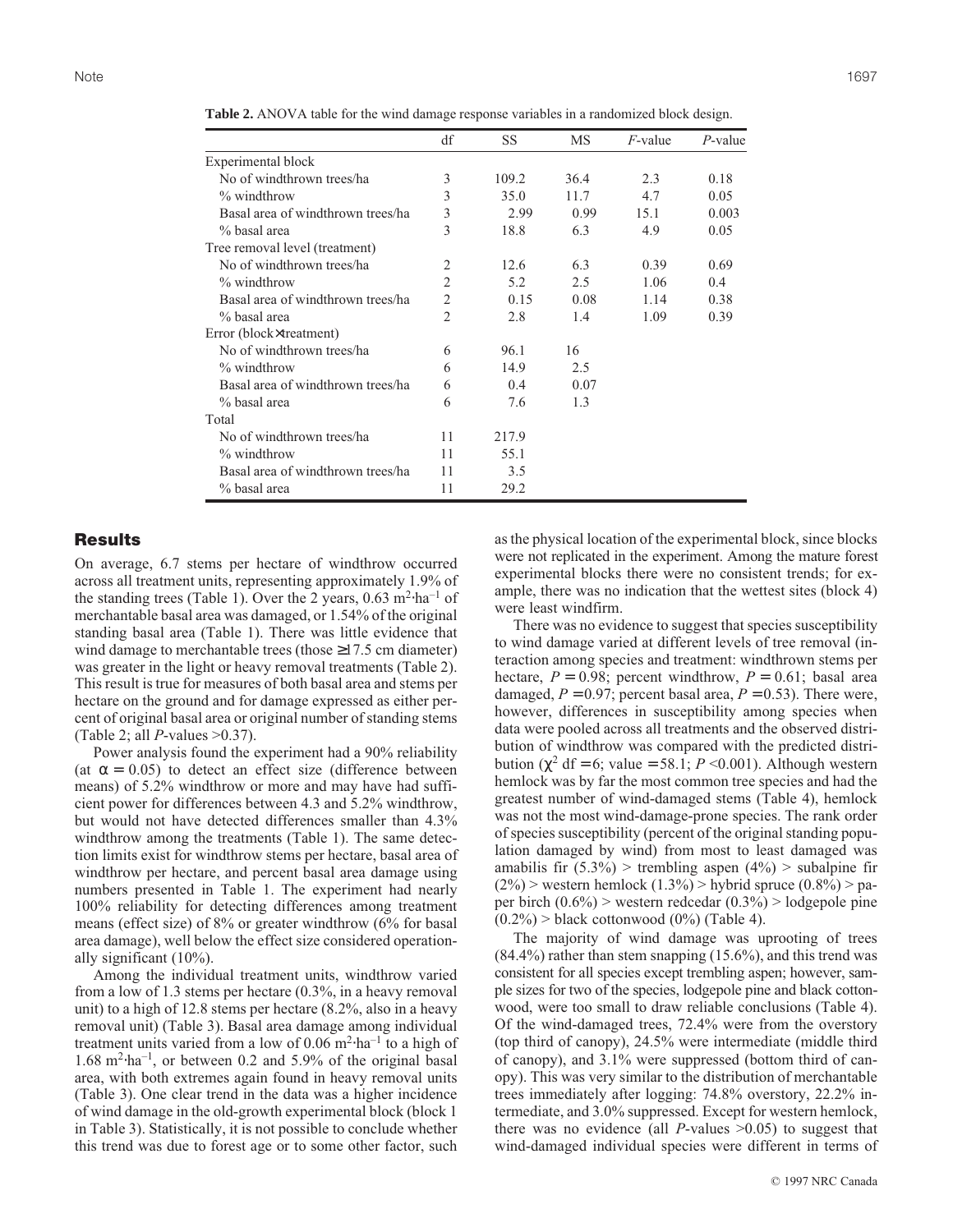|                                   | df             | SS    | MS   | $F$ -value | $P$ -value |
|-----------------------------------|----------------|-------|------|------------|------------|
| Experimental block                |                |       |      |            |            |
| No of windthrown trees/ha         | 3              | 109.2 | 36.4 | 2.3        | 0.18       |
| % windthrow                       | 3              | 35.0  | 11.7 | 4.7        | 0.05       |
| Basal area of windthrown trees/ha | 3              | 2.99  | 0.99 | 15.1       | 0.003      |
| % basal area                      | 3              | 18.8  | 6.3  | 4.9        | 0.05       |
| Tree removal level (treatment)    |                |       |      |            |            |
| No of windthrown trees/ha         | $\overline{2}$ | 12.6  | 6.3  | 0.39       | 0.69       |
| % windthrow                       | $\overline{2}$ | 5.2   | 2.5  | 1.06       | 0.4        |
| Basal area of windthrown trees/ha | $\overline{2}$ | 0.15  | 0.08 | 1.14       | 0.38       |
| % basal area                      | $\overline{2}$ | 2.8   | 1.4  | 1.09       | 0.39       |
| Error (block×treatment)           |                |       |      |            |            |
| No of windthrown trees/ha         | 6              | 96.1  | 16   |            |            |
| $%$ windthrow                     | 6              | 14.9  | 2.5  |            |            |
| Basal area of windthrown trees/ha | 6              | 0.4   | 0.07 |            |            |
| % basal area                      | 6              | 7.6   | 1.3  |            |            |
| Total                             |                |       |      |            |            |
| No of windthrown trees/ha         | 11             | 217.9 |      |            |            |
| % windthrow                       | 11             | 55.1  |      |            |            |
| Basal area of windthrown trees/ha | 11             | 3.5   |      |            |            |
| % basal area                      | 11             | 29.2  |      |            |            |

**Table 2.** ANOVA table for the wind damage response variables in a randomized block design.

## **Results**

On average, 6.7 stems per hectare of windthrow occurred across all treatment units, representing approximately 1.9% of the standing trees (Table 1). Over the 2 years,  $0.63 \text{ m}^2 \cdot \text{ha}^{-1}$  of merchantable basal area was damaged, or 1.54% of the original standing basal area (Table 1). There was little evidence that wind damage to merchantable trees (those ≥17.5 cm diameter) was greater in the light or heavy removal treatments (Table 2). This result is true for measures of both basal area and stems per hectare on the ground and for damage expressed as either percent of original basal area or original number of standing stems (Table 2; all *P*-values >0.37).

Power analysis found the experiment had a 90% reliability (at  $\alpha = 0.05$ ) to detect an effect size (difference between means) of 5.2% windthrow or more and may have had sufficient power for differences between 4.3 and 5.2% windthrow, but would not have detected differences smaller than 4.3% windthrow among the treatments (Table 1). The same detection limits exist for windthrow stems per hectare, basal area of windthrow per hectare, and percent basal area damage using numbers presented in Table 1. The experiment had nearly 100% reliability for detecting differences among treatment means (effect size) of 8% or greater windthrow (6% for basal area damage), well below the effect size considered operationally significant (10%).

Among the individual treatment units, windthrow varied from a low of 1.3 stems per hectare (0.3%, in a heavy removal unit) to a high of 12.8 stems per hectare (8.2%, also in a heavy removal unit) (Table 3). Basal area damage among individual treatment units varied from a low of 0.06 m<sup>2</sup>⋅ha<sup>-1</sup> to a high of  $1.68 \text{ m}^2 \cdot \text{ha}^{-1}$ , or between 0.2 and 5.9% of the original basal area, with both extremes again found in heavy removal units (Table 3). One clear trend in the data was a higher incidence of wind damage in the old-growth experimental block (block 1 in Table 3). Statistically, it is not possible to conclude whether this trend was due to forest age or to some other factor, such

as the physical location of the experimental block, since blocks were not replicated in the experiment. Among the mature forest experimental blocks there were no consistent trends; for example, there was no indication that the wettest sites (block 4) were least windfirm.

There was no evidence to suggest that species susceptibility to wind damage varied at different levels of tree removal (interaction among species and treatment: windthrown stems per hectare,  $P = 0.98$ ; percent windthrow,  $P = 0.61$ ; basal area damaged,  $P = 0.97$ ; percent basal area,  $P = 0.53$ ). There were, however, differences in susceptibility among species when data were pooled across all treatments and the observed distribution of windthrow was compared with the predicted distribution ( $χ²$  df = 6; value = 58.1; *P* < 0.001). Although western hemlock was by far the most common tree species and had the greatest number of wind-damaged stems (Table 4), hemlock was not the most wind-damage-prone species. The rank order of species susceptibility (percent of the original standing population damaged by wind) from most to least damaged was amabilis fir  $(5.3\%)$  > trembling aspen  $(4\%)$  > subalpine fir  $(2\%)$  > western hemlock  $(1.3\%)$  > hybrid spruce  $(0.8\%)$  > paper birch  $(0.6\%)$  > western redcedar  $(0.3\%)$  > lodgepole pine  $(0.2\%)$  > black cottonwood  $(0\%)$  (Table 4).

The majority of wind damage was uprooting of trees  $(84.4\%)$  rather than stem snapping  $(15.6\%)$ , and this trend was consistent for all species except trembling aspen; however, sample sizes for two of the species, lodgepole pine and black cottonwood, were too small to draw reliable conclusions (Table 4). Of the wind-damaged trees, 72.4% were from the overstory (top third of canopy), 24.5% were intermediate (middle third of canopy), and 3.1% were suppressed (bottom third of canopy). This was very similar to the distribution of merchantable trees immediately after logging: 74.8% overstory, 22.2% intermediate, and 3.0% suppressed. Except for western hemlock, there was no evidence (all *P*-values  $>0.05$ ) to suggest that wind-damaged individual species were different in terms of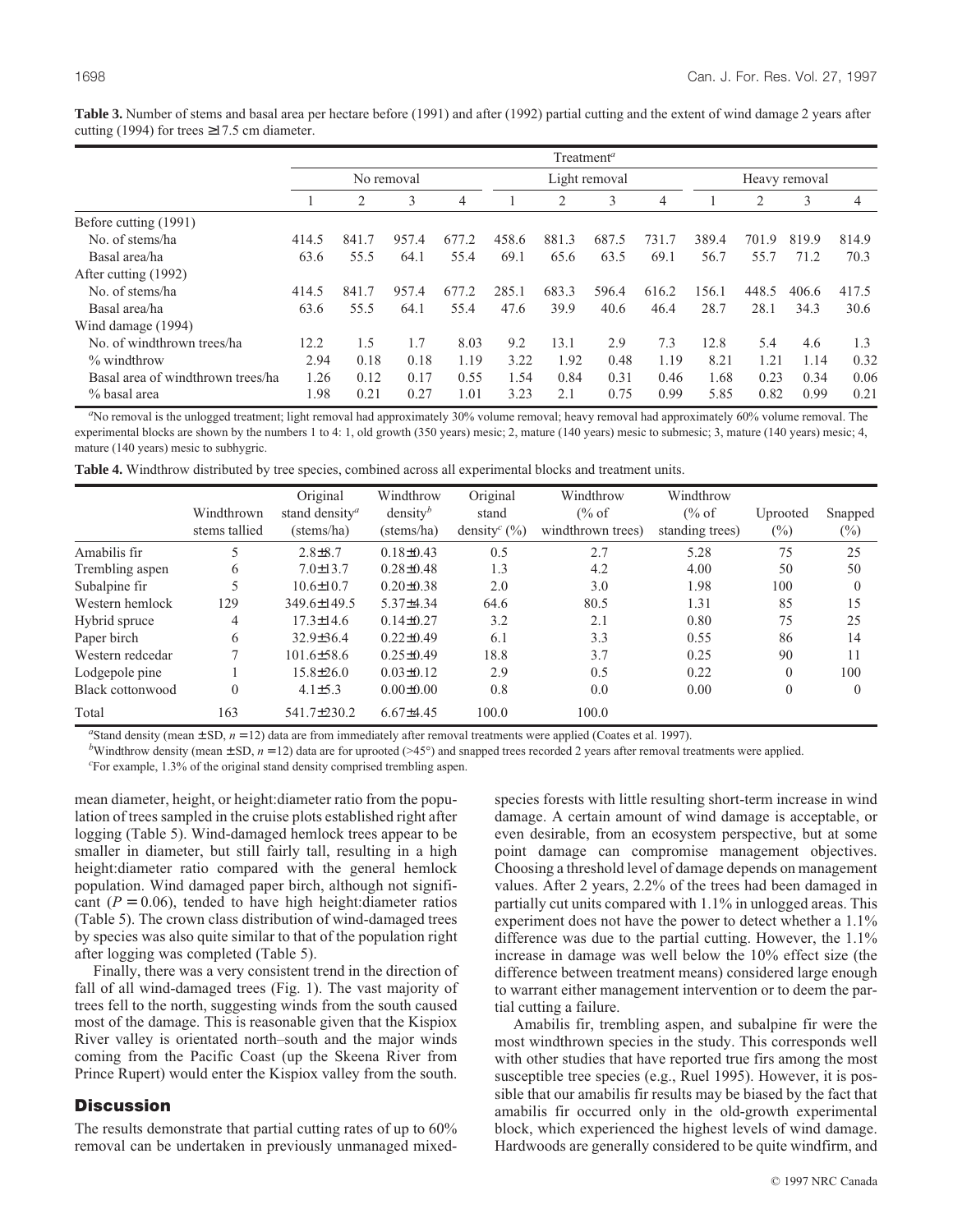|                                   |       |       |            |       |               | $T$ reatment <sup>a</sup> |       |       |               |       |       |                |
|-----------------------------------|-------|-------|------------|-------|---------------|---------------------------|-------|-------|---------------|-------|-------|----------------|
|                                   |       |       | No removal |       | Light removal |                           |       |       | Heavy removal |       |       |                |
|                                   |       | 2     | 3          | 4     |               | 2                         | 3     | 4     |               | 2     | 3     | $\overline{4}$ |
| Before cutting (1991)             |       |       |            |       |               |                           |       |       |               |       |       |                |
| No. of stems/ha                   | 414.5 | 841.7 | 957.4      | 677.2 | 458.6         | 881.3                     | 687.5 | 731.7 | 389.4         | 701.9 | 819.9 | 814.9          |
| Basal area/ha                     | 63.6  | 55.5  | 64.1       | 55.4  | 69.1          | 65.6                      | 63.5  | 69.1  | 56.7          | 55.7  | 71.2  | 70.3           |
| After cutting (1992)              |       |       |            |       |               |                           |       |       |               |       |       |                |
| No. of stems/ha                   | 414.5 | 841.7 | 957.4      | 677.2 | 285.1         | 683.3                     | 596.4 | 616.2 | 156.1         | 448.5 | 406.6 | 417.5          |
| Basal area/ha                     | 63.6  | 55.5  | 64.1       | 55.4  | 47.6          | 39.9                      | 40.6  | 46.4  | 28.7          | 28.1  | 34.3  | 30.6           |
| Wind damage (1994)                |       |       |            |       |               |                           |       |       |               |       |       |                |
| No. of windthrown trees/ha        | 12.2  | 1.5   | 1.7        | 8.03  | 9.2           | 13.1                      | 2.9   | 7.3   | 12.8          | 5.4   | 4.6   | 1.3            |
| $\%$ windthrow                    | 2.94  | 0.18  | 0.18       | 1.19  | 3.22          | 1.92                      | 0.48  | 1.19  | 8.21          | 1.21  | 1.14  | 0.32           |
| Basal area of windthrown trees/ha | 1.26  | 0.12  | 0.17       | 0.55  | 1.54          | 0.84                      | 0.31  | 0.46  | 1.68          | 0.23  | 0.34  | 0.06           |
| % basal area                      | 1.98  | 0.21  | 0.27       | 1.01  | 3.23          | 2.1                       | 0.75  | 0.99  | 5.85          | 0.82  | 0.99  | 0.21           |

**Table 3.** Number of stems and basal area per hectare before (1991) and after (1992) partial cutting and the extent of wind damage 2 years after cutting (1994) for trees  $\geq$ 17.5 cm diameter.

<sup>a</sup>No removal is the unlogged treatment; light removal had approximately 30% volume removal; heavy removal had approximately 60% volume removal. The experimental blocks are shown by the numbers 1 to 4: 1, old growth (350 years) mesic; 2, mature (140 years) mesic to submesic; 3, mature (140 years) mesic; 4, mature (140 years) mesic to subhygric.

|  |  |  |  |  |  |  |  | Table 4. Windthrow distributed by tree species, combined across all experimental blocks and treatment units. |
|--|--|--|--|--|--|--|--|--------------------------------------------------------------------------------------------------------------|
|--|--|--|--|--|--|--|--|--------------------------------------------------------------------------------------------------------------|

|                  | Windthrown<br>stems tallied | Original<br>stand density <sup>a</sup><br>(stems/ha) | Windthrow<br>density <sup>b</sup><br>(stems/ha) | Original<br>stand<br>density <sup>c</sup> $(\%)$ | Windthrow<br>$\frac{6}{6}$ of<br>windthrown trees) | Windthrow<br>$\frac{6}{6}$ of<br>standing trees) | Uprooted<br>$(\%)$ | Snapped<br>$(\%)$ |
|------------------|-----------------------------|------------------------------------------------------|-------------------------------------------------|--------------------------------------------------|----------------------------------------------------|--------------------------------------------------|--------------------|-------------------|
| Amabilis fir     |                             | $2.8 \pm 8.7$                                        | $0.18 \pm 0.43$                                 | 0.5                                              | 2.7                                                | 5.28                                             | 75                 | 25                |
| Trembling aspen  | 6                           | $7.0 \pm 13.7$                                       | $0.28 \pm 0.48$                                 | 1.3                                              | 4.2                                                | 4.00                                             | 50                 | 50                |
| Subalpine fir    | 5                           | $10.6 \pm 10.7$                                      | $0.20 \pm 0.38$                                 | 2.0                                              | 3.0                                                | 1.98                                             | 100                |                   |
| Western hemlock  | 129                         | 349.6±149.5                                          | $5.37\pm4.34$                                   | 64.6                                             | 80.5                                               | 1.31                                             | 85                 | 15                |
| Hybrid spruce    | 4                           | $17.3 \pm 14.6$                                      | $0.14\pm0.27$                                   | 3.2                                              | 2.1                                                | 0.80                                             | 75                 | 25                |
| Paper birch      | 6                           | $32.9 \pm 36.4$                                      | $0.22 \pm 0.49$                                 | 6.1                                              | 3.3                                                | 0.55                                             | 86                 | 14                |
| Western redcedar |                             | $101.6 \pm 58.6$                                     | $0.25 \pm 0.49$                                 | 18.8                                             | 3.7                                                | 0.25                                             | 90                 | 11                |
| Lodgepole pine   |                             | 15.8±26.0                                            | $0.03\pm0.12$                                   | 2.9                                              | 0.5                                                | 0.22                                             | $\Omega$           | 100               |
| Black cottonwood | $\theta$                    | $4.1 \pm 5.3$                                        | $0.00 \pm 0.00$                                 | 0.8                                              | 0.0                                                | 0.00                                             | $\mathbf{0}$       | $\Omega$          |
| Total            | 163                         | 541.7±230.2                                          | $6.67{\pm}4.45$                                 | 100.0                                            | 100.0                                              |                                                  |                    |                   |

<sup>a</sup>Stand density (mean  $\pm$  SD,  $n = 12$ ) data are from immediately after removal treatments were applied (Coates et al. 1997).

*b*Windthrow density (mean  $\pm$  SD, *n* = 12) data are for uprooted (>45°) and snapped trees recorded 2 years after removal treatments were applied.

*c* For example, 1.3% of the original stand density comprised trembling aspen.

mean diameter, height, or height:diameter ratio from the population of trees sampled in the cruise plots established right after logging (Table 5). Wind-damaged hemlock trees appear to be smaller in diameter, but still fairly tall, resulting in a high height:diameter ratio compared with the general hemlock population. Wind damaged paper birch, although not significant  $(P = 0.06)$ , tended to have high height: diameter ratios (Table 5). The crown class distribution of wind-damaged trees by species was also quite similar to that of the population right after logging was completed (Table 5).

Finally, there was a very consistent trend in the direction of fall of all wind-damaged trees (Fig. 1). The vast majority of trees fell to the north, suggesting winds from the south caused most of the damage. This is reasonable given that the Kispiox River valley is orientated north–south and the major winds coming from the Pacific Coast (up the Skeena River from Prince Rupert) would enter the Kispiox valley from the south.

#### **Discussion**

The results demonstrate that partial cutting rates of up to 60% removal can be undertaken in previously unmanaged mixedspecies forests with little resulting short-term increase in wind damage. A certain amount of wind damage is acceptable, or even desirable, from an ecosystem perspective, but at some point damage can compromise management objectives. Choosing a threshold level of damage depends on management values. After 2 years, 2.2% of the trees had been damaged in partially cut units compared with 1.1% in unlogged areas. This experiment does not have the power to detect whether a 1.1% difference was due to the partial cutting. However, the 1.1% increase in damage was well below the 10% effect size (the difference between treatment means) considered large enough to warrant either management intervention or to deem the partial cutting a failure.

Amabilis fir, trembling aspen, and subalpine fir were the most windthrown species in the study. This corresponds well with other studies that have reported true firs among the most susceptible tree species (e.g., Ruel 1995). However, it is possible that our amabilis fir results may be biased by the fact that amabilis fir occurred only in the old-growth experimental block, which experienced the highest levels of wind damage. Hardwoods are generally considered to be quite windfirm, and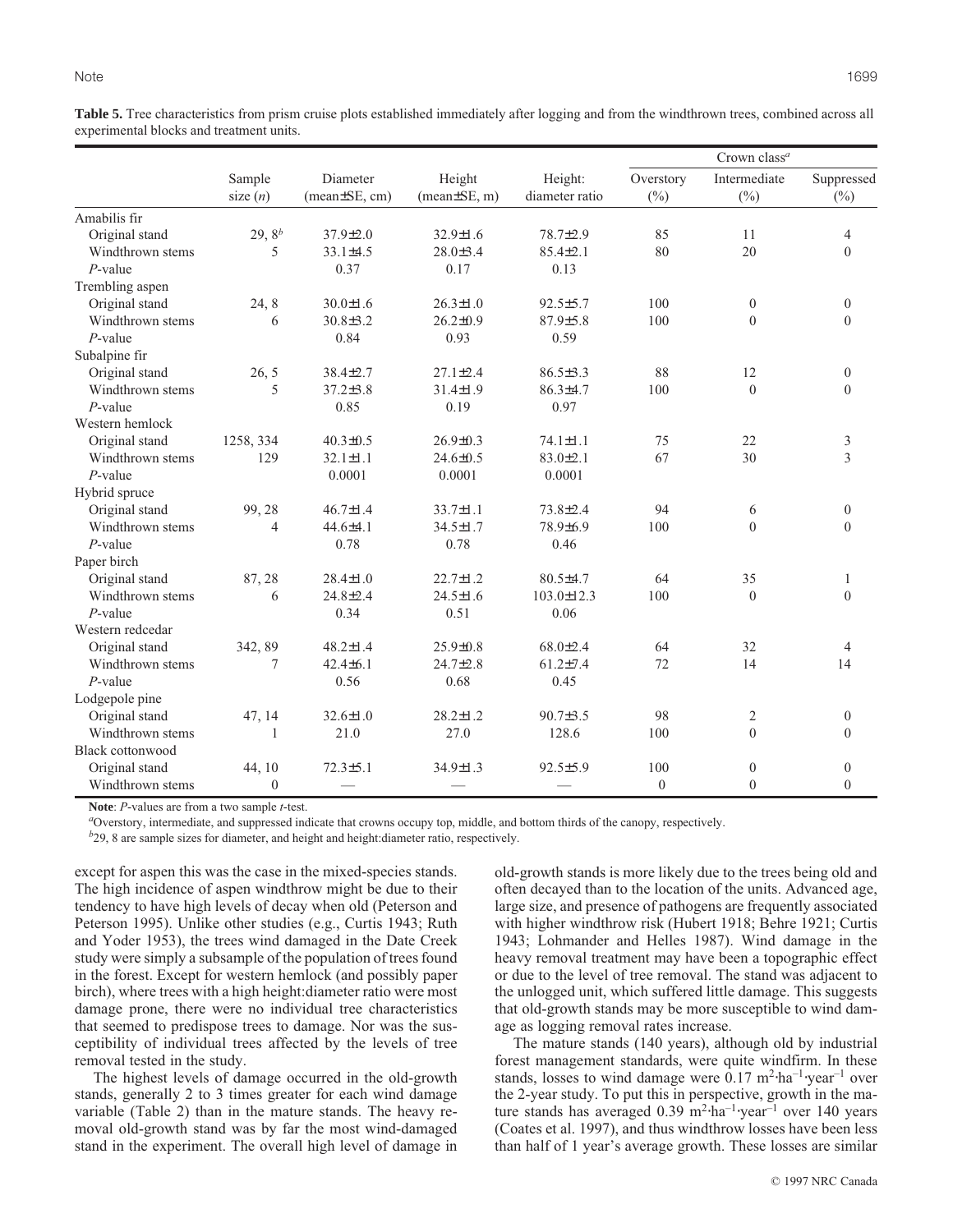**Table 5.** Tree characteristics from prism cruise plots established immediately after logging and from the windthrown trees, combined across all experimental blocks and treatment units.

|                         |                      |                                |                              |                           |                     | Crown class <sup>a</sup> |                      |
|-------------------------|----------------------|--------------------------------|------------------------------|---------------------------|---------------------|--------------------------|----------------------|
|                         | Sample<br>size $(n)$ | Diameter<br>$mean \pm SE, cm)$ | Height<br>$(mean \pm SE, m)$ | Height:<br>diameter ratio | Overstory<br>$(\%)$ | Intermediate<br>$(\%)$   | Suppressed<br>$(\%)$ |
| Amabilis fir            |                      |                                |                              |                           |                     |                          |                      |
| Original stand          | 29, $8^b$            | $37.9 \pm 2.0$                 | $32.9 \pm 1.6$               | 78.7±2.9                  | 85                  | 11                       | $\overline{4}$       |
| Windthrown stems        | 5                    | $33.1 \pm 4.5$                 | $28.0 \pm 3.4$               | $85.4 \pm 2.1$            | 80                  | 20                       | $\mathbf{0}$         |
| $P$ -value              |                      | 0.37                           | 0.17                         | 0.13                      |                     |                          |                      |
| Trembling aspen         |                      |                                |                              |                           |                     |                          |                      |
| Original stand          | 24, 8                | $30.0 \pm 1.6$                 | $26.3 \pm 1.0$               | $92.5 \pm 5.7$            | 100                 | $\mathbf{0}$             | $\boldsymbol{0}$     |
| Windthrown stems        | 6                    | $30.8 \pm 3.2$                 | $26.2 \pm 0.9$               | $87.9{\pm}5.8$            | 100                 | $\theta$                 | $\theta$             |
| $P$ -value              |                      | 0.84                           | 0.93                         | 0.59                      |                     |                          |                      |
| Subalpine fir           |                      |                                |                              |                           |                     |                          |                      |
| Original stand          | 26, 5                | $38.4 \pm 2.7$                 | $27.1 \pm 2.4$               | $86.5 \pm 3.3$            | 88                  | 12                       | $\boldsymbol{0}$     |
| Windthrown stems        | 5                    | $37.2 \pm 3.8$                 | $31.4 \pm 1.9$               | $86.3{\pm}4.7$            | 100                 | $\theta$                 | $\theta$             |
| $P$ -value              |                      | 0.85                           | 0.19                         | 0.97                      |                     |                          |                      |
| Western hemlock         |                      |                                |                              |                           |                     |                          |                      |
| Original stand          | 1258, 334            | $40.3 \pm 0.5$                 | $26.9 \pm 0.3$               | $74.1 \pm 1.1$            | 75                  | 22                       | 3                    |
| Windthrown stems        | 129                  | $32.1 \pm 1.1$                 | $24.6 \pm 0.5$               | $83.0 \pm 2.1$            | 67                  | 30                       | $\overline{3}$       |
| $P$ -value              |                      | 0.0001                         | 0.0001                       | 0.0001                    |                     |                          |                      |
| Hybrid spruce           |                      |                                |                              |                           |                     |                          |                      |
| Original stand          | 99, 28               | $46.7 \pm 1.4$                 | $33.7 \pm 1.1$               | $73.8 \pm 2.4$            | 94                  | 6                        | $\boldsymbol{0}$     |
| Windthrown stems        | $\overline{4}$       | $44.6{\pm}4.1$                 | $34.5 \pm 1.7$               | 78.9±6.9                  | 100                 | $\theta$                 | $\Omega$             |
| $P$ -value              |                      | 0.78                           | 0.78                         | 0.46                      |                     |                          |                      |
| Paper birch             |                      |                                |                              |                           |                     |                          |                      |
| Original stand          | 87, 28               | $28.4 \pm 1.0$                 | $22.7 \pm 1.2$               | $80.5 \pm 4.7$            | 64                  | 35                       | $\mathbf{1}$         |
| Windthrown stems        | 6                    | $24.8 \pm 2.4$                 | $24.5 \pm 1.6$               | $103.0 \pm 12.3$          | 100                 | $\mathbf{0}$             | $\mathbf{0}$         |
| $P$ -value              |                      | 0.34                           | 0.51                         | 0.06                      |                     |                          |                      |
| Western redcedar        |                      |                                |                              |                           |                     |                          |                      |
| Original stand          | 342, 89              | $48.2 \pm 1.4$                 | $25.9 \pm 0.8$               | $68.0 \pm 2.4$            | 64                  | 32                       | $\overline{4}$       |
| Windthrown stems        | 7                    | $42.4 \pm 6.1$                 | $24.7 \pm 2.8$               | $61.2{\pm}7.4$            | 72                  | 14                       | 14                   |
| $P$ -value              |                      | 0.56                           | 0.68                         | 0.45                      |                     |                          |                      |
| Lodgepole pine          |                      |                                |                              |                           |                     |                          |                      |
| Original stand          | 47, 14               | $32.6 \pm 1.0$                 | $28.2 \pm 1.2$               | $90.7 \pm 3.5$            | 98                  | $\overline{2}$           | $\boldsymbol{0}$     |
| Windthrown stems        | $\mathbf{1}$         | 21.0                           | 27.0                         | 128.6                     | 100                 | $\theta$                 | $\mathbf{0}$         |
| <b>Black cottonwood</b> |                      |                                |                              |                           |                     |                          |                      |
| Original stand          | 44, 10               | $72.3 \pm 5.1$                 | $34.9 \pm 1.3$               | $92.5 \pm 5.9$            | 100                 | $\mathbf{0}$             | $\boldsymbol{0}$     |
| Windthrown stems        | $\theta$             |                                |                              |                           | $\theta$            | $\theta$                 | $\overline{0}$       |

**Note**: *P*-values are from a two sample *t*-test.

*a* Overstory, intermediate, and suppressed indicate that crowns occupy top, middle, and bottom thirds of the canopy, respectively.

*b* 29, 8 are sample sizes for diameter, and height and height:diameter ratio, respectively.

except for aspen this was the case in the mixed-species stands. The high incidence of aspen windthrow might be due to their tendency to have high levels of decay when old (Peterson and Peterson 1995). Unlike other studies (e.g., Curtis 1943; Ruth and Yoder 1953), the trees wind damaged in the Date Creek study were simply a subsample of the population of trees found in the forest. Except for western hemlock (and possibly paper birch), where trees with a high height:diameter ratio were most damage prone, there were no individual tree characteristics that seemed to predispose trees to damage. Nor was the susceptibility of individual trees affected by the levels of tree removal tested in the study.

The highest levels of damage occurred in the old-growth stands, generally 2 to 3 times greater for each wind damage variable (Table 2) than in the mature stands. The heavy removal old-growth stand was by far the most wind-damaged stand in the experiment. The overall high level of damage in old-growth stands is more likely due to the trees being old and often decayed than to the location of the units. Advanced age, large size, and presence of pathogens are frequently associated with higher windthrow risk (Hubert 1918; Behre 1921; Curtis 1943; Lohmander and Helles 1987). Wind damage in the heavy removal treatment may have been a topographic effect or due to the level of tree removal. The stand was adjacent to the unlogged unit, which suffered little damage. This suggests that old-growth stands may be more susceptible to wind damage as logging removal rates increase.

The mature stands (140 years), although old by industrial forest management standards, were quite windfirm. In these stands, losses to wind damage were 0.17 m<sup>2</sup>⋅ha<sup>-1</sup>⋅year<sup>-1</sup> over the 2-year study. To put this in perspective, growth in the mature stands has averaged 0.39 m2⋅ha–1⋅year–1 over 140 years (Coates et al. 1997), and thus windthrow losses have been less than half of 1 year's average growth. These losses are similar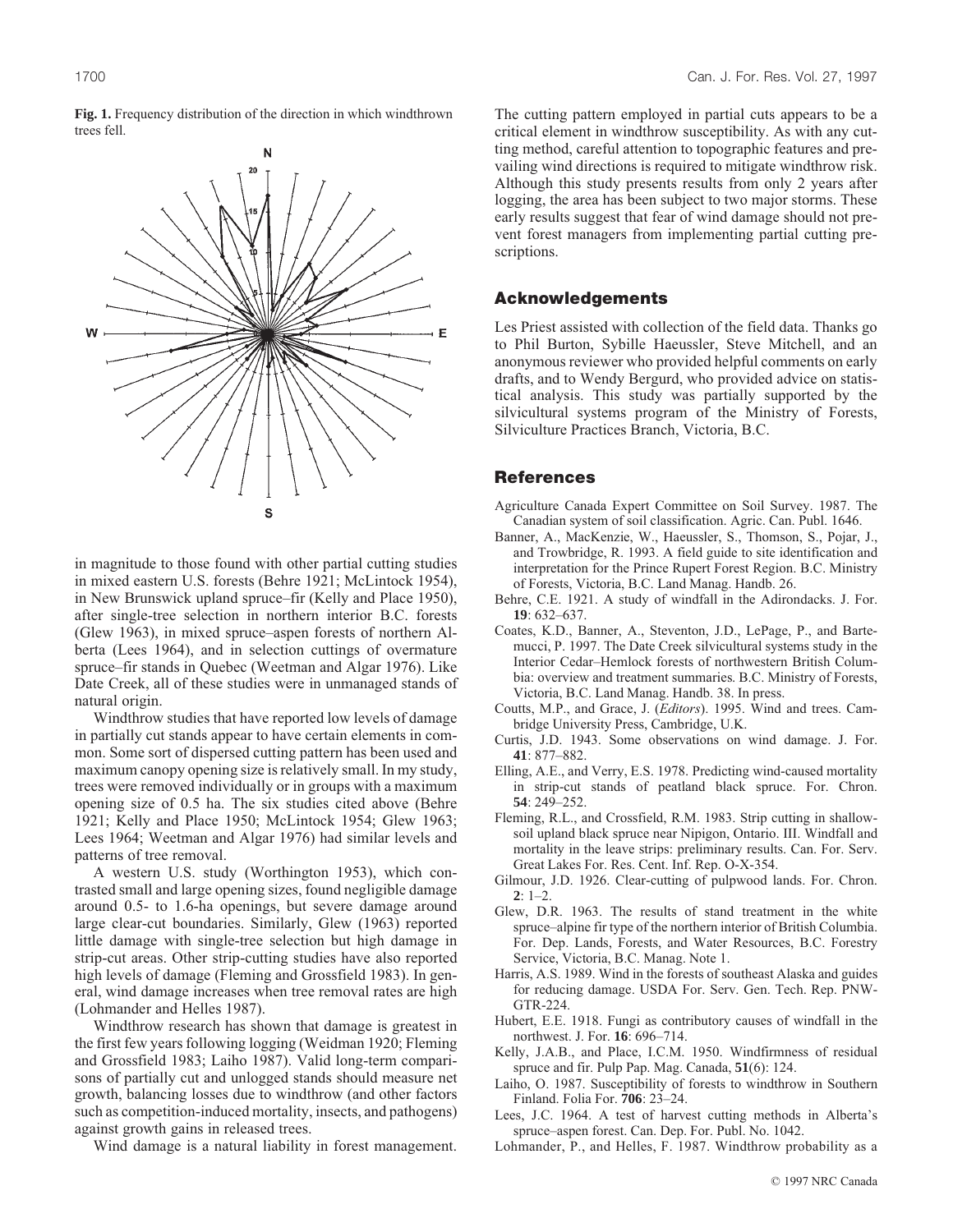

in magnitude to those found with other partial cutting studies in mixed eastern U.S. forests (Behre 1921; McLintock 1954), in New Brunswick upland spruce–fir (Kelly and Place 1950), after single-tree selection in northern interior B.C. forests (Glew 1963), in mixed spruce–aspen forests of northern Alberta (Lees 1964), and in selection cuttings of overmature spruce–fir stands in Quebec (Weetman and Algar 1976). Like Date Creek, all of these studies were in unmanaged stands of natural origin.

Windthrow studies that have reported low levels of damage in partially cut stands appear to have certain elements in common. Some sort of dispersed cutting pattern has been used and maximum canopy opening size is relatively small. In my study, trees were removed individually or in groups with a maximum opening size of 0.5 ha. The six studies cited above (Behre 1921; Kelly and Place 1950; McLintock 1954; Glew 1963; Lees 1964; Weetman and Algar 1976) had similar levels and patterns of tree removal.

A western U.S. study (Worthington 1953), which contrasted small and large opening sizes, found negligible damage around 0.5- to 1.6-ha openings, but severe damage around large clear-cut boundaries. Similarly, Glew (1963) reported little damage with single-tree selection but high damage in strip-cut areas. Other strip-cutting studies have also reported high levels of damage (Fleming and Grossfield 1983). In general, wind damage increases when tree removal rates are high (Lohmander and Helles 1987).

Windthrow research has shown that damage is greatest in the first few years following logging (Weidman 1920; Fleming and Grossfield 1983; Laiho 1987). Valid long-term comparisons of partially cut and unlogged stands should measure net growth, balancing losses due to windthrow (and other factors such as competition-induced mortality, insects, and pathogens) against growth gains in released trees.

Wind damage is a natural liability in forest management.

The cutting pattern employed in partial cuts appears to be a critical element in windthrow susceptibility. As with any cutting method, careful attention to topographic features and prevailing wind directions is required to mitigate windthrow risk. Although this study presents results from only 2 years after logging, the area has been subject to two major storms. These early results suggest that fear of wind damage should not prevent forest managers from implementing partial cutting prescriptions.

#### Acknowledgements

Les Priest assisted with collection of the field data. Thanks go to Phil Burton, Sybille Haeussler, Steve Mitchell, and an anonymous reviewer who provided helpful comments on early drafts, and to Wendy Bergurd, who provided advice on statistical analysis. This study was partially supported by the silvicultural systems program of the Ministry of Forests, Silviculture Practices Branch, Victoria, B.C.

#### References

- Agriculture Canada Expert Committee on Soil Survey. 1987. The Canadian system of soil classification. Agric. Can. Publ. 1646.
- Banner, A., MacKenzie, W., Haeussler, S., Thomson, S., Pojar, J., and Trowbridge, R. 1993. A field guide to site identification and interpretation for the Prince Rupert Forest Region. B.C. Ministry of Forests, Victoria, B.C. Land Manag. Handb. 26.
- Behre, C.E. 1921. A study of windfall in the Adirondacks. J. For. **19**: 632–637.
- Coates, K.D., Banner, A., Steventon, J.D., LePage, P., and Bartemucci, P. 1997. The Date Creek silvicultural systems study in the Interior Cedar–Hemlock forests of northwestern British Columbia: overview and treatment summaries. B.C. Ministry of Forests, Victoria, B.C. Land Manag. Handb. 38. In press.
- Coutts, M.P., and Grace, J. (*Editors*). 1995. Wind and trees. Cambridge University Press, Cambridge, U.K.
- Curtis, J.D. 1943. Some observations on wind damage. J. For. **41**: 877–882.
- Elling, A.E., and Verry, E.S. 1978. Predicting wind-caused mortality in strip-cut stands of peatland black spruce. For. Chron. **54**: 249–252.
- Fleming, R.L., and Crossfield, R.M. 1983. Strip cutting in shallowsoil upland black spruce near Nipigon, Ontario. III. Windfall and mortality in the leave strips: preliminary results. Can. For. Serv. Great Lakes For. Res. Cent. Inf. Rep. O-X-354.
- Gilmour, J.D. 1926. Clear-cutting of pulpwood lands. For. Chron. **2**: 1–2.
- Glew, D.R. 1963. The results of stand treatment in the white spruce–alpine fir type of the northern interior of British Columbia. For. Dep. Lands, Forests, and Water Resources, B.C. Forestry Service, Victoria, B.C. Manag. Note 1.
- Harris, A.S. 1989. Wind in the forests of southeast Alaska and guides for reducing damage. USDA For. Serv. Gen. Tech. Rep. PNW-GTR-224.
- Hubert, E.E. 1918. Fungi as contributory causes of windfall in the northwest. J. For. **16**: 696–714.
- Kelly, J.A.B., and Place, I.C.M. 1950. Windfirmness of residual spruce and fir. Pulp Pap. Mag. Canada, **51**(6): 124.
- Laiho, O. 1987. Susceptibility of forests to windthrow in Southern Finland. Folia For. **706**: 23–24.
- Lees, J.C. 1964. A test of harvest cutting methods in Alberta's spruce–aspen forest. Can. Dep. For. Publ. No. 1042.
- Lohmander, P., and Helles, F. 1987. Windthrow probability as a